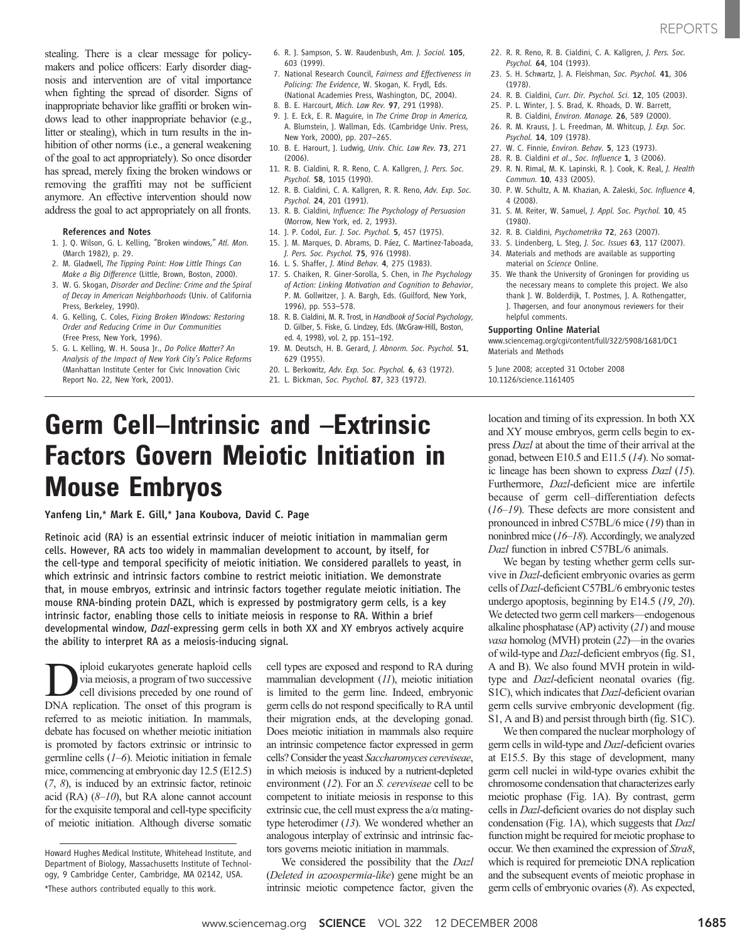stealing. There is a clear message for policymakers and police officers: Early disorder diagnosis and intervention are of vital importance when fighting the spread of disorder. Signs of inappropriate behavior like graffiti or broken windows lead to other inappropriate behavior (e.g., litter or stealing), which in turn results in the inhibition of other norms (i.e., a general weakening of the goal to act appropriately). So once disorder has spread, merely fixing the broken windows or removing the graffiti may not be sufficient anymore. An effective intervention should now address the goal to act appropriately on all fronts.

## References and Notes

- 1. J. Q. Wilson, G. L. Kelling, "Broken windows," Atl. Mon. (March 1982), p. 29.
- 2. M. Gladwell, The Tipping Point: How Little Things Can Make a Big Difference (Little, Brown, Boston, 2000).
- 3. W. G. Skogan, Disorder and Decline: Crime and the Spiral of Decay in American Neighborhoods (Univ. of California Press, Berkeley, 1990).
- 4. G. Kelling, C. Coles, Fixing Broken Windows: Restoring Order and Reducing Crime in Our Communities (Free Press, New York, 1996).
- 5. G. L. Kelling, W. H. Sousa Jr., Do Police Matter? An Analysis of the Impact of New York City's Police Reforms (Manhattan Institute Center for Civic Innovation Civic Report No. 22, New York, 2001).
- 6. R. J. Sampson, S. W. Raudenbush, Am. J. Sociol. 105, 603 (1999).
- 7. National Research Council, Fairness and Effectiveness in Policing: The Evidence, W. Skogan, K. Frydl, Eds. (National Academies Press, Washington, DC, 2004).
- 8. B. E. Harcourt, Mich. Law Rev. 97, 291 (1998).
- 9. J. E. Eck, E. R. Maguire, in The Crime Drop in America, A. Blumstein, J. Wallman, Eds. (Cambridge Univ. Press, New York, 2000), pp. 207–265.
- 10. B. E. Harourt, J. Ludwig, Univ. Chic. Law Rev. 73, 271 (2006).
- 11. R. B. Cialdini, R. R. Reno, C. A. Kallgren, J. Pers. Soc. Psychol. 58, 1015 (1990).
- 12. R. B. Cialdini, C. A. Kallgren, R. R. Reno, Adv. Exp. Soc. Psychol. 24, 201 (1991).
- 13. R. B. Cialdini, Influence: The Psychology of Persuasion (Morrow, New York, ed. 2, 1993).
- 14. J. P. Codol, Eur. J. Soc. Psychol. 5, 457 (1975).
- 15. J. M. Marques, D. Abrams, D. Páez, C. Martinez-Taboada, J. Pers. Soc. Psychol. 75, 976 (1998).
- 16. L. S. Shaffer, J. Mind Behav. 4, 275 (1983).
- 17. S. Chaiken, R. Giner-Sorolla, S. Chen, in The Psychology of Action: Linking Motivation and Cognition to Behavior, P. M. Gollwitzer, J. A. Bargh, Eds. (Guilford, New York, 1996), pp. 553–578.
- 18. R. B. Cialdini, M. R. Trost, in Handbook of Social Psychology, D. Gilber, S. Fiske, G. Lindzey, Eds. (McGraw-Hill, Boston, ed. 4, 1998), vol. 2, pp. 151–192.
- 19. M. Deutsch, H. B. Gerard, J. Abnorm. Soc. Psychol. 51, 629 (1955).
- 20. L. Berkowitz, Adv. Exp. Soc. Psychol. 6, 63 (1972).
- 21. L. Bickman, Soc. Psychol. 87, 323 (1972).

# Germ Cell–Intrinsic and –Extrinsic Factors Govern Meiotic Initiation in Mouse Embryos

Yanfeng Lin,\* Mark E. Gill,\* Jana Koubova, David C. Page

Retinoic acid (RA) is an essential extrinsic inducer of meiotic initiation in mammalian germ cells. However, RA acts too widely in mammalian development to account, by itself, for the cell-type and temporal specificity of meiotic initiation. We considered parallels to yeast, in which extrinsic and intrinsic factors combine to restrict meiotic initiation. We demonstrate that, in mouse embryos, extrinsic and intrinsic factors together regulate meiotic initiation. The mouse RNA-binding protein DAZL, which is expressed by postmigratory germ cells, is a key intrinsic factor, enabling those cells to initiate meiosis in response to RA. Within a brief developmental window, Dazl-expressing germ cells in both XX and XY embryos actively acquire the ability to interpret RA as a meiosis-inducing signal.

**D**iploid eukaryotes generate haploid cells<br>via meiosis, a program of two successive<br>cell divisions preceded by one round of<br>DNA replication. The onset of this program is via meiosis, a program of two successive DNA replication. The onset of this program is referred to as meiotic initiation. In mammals, debate has focused on whether meiotic initiation is promoted by factors extrinsic or intrinsic to germline cells  $(1-6)$ . Meiotic initiation in female mice, commencing at embryonic day 12.5 (E12.5) (7, 8), is induced by an extrinsic factor, retinoic acid (RA)  $(8-10)$ , but RA alone cannot account for the exquisite temporal and cell-type specificity of meiotic initiation. Although diverse somatic

cell types are exposed and respond to RA during mammalian development (11), meiotic initiation is limited to the germ line. Indeed, embryonic germ cells do not respond specifically to RA until their migration ends, at the developing gonad. Does meiotic initiation in mammals also require an intrinsic competence factor expressed in germ cells? Consider the yeast Saccharomyces cereviseae, in which meiosis is induced by a nutrient-depleted environment (12). For an S. cereviseae cell to be competent to initiate meiosis in response to this extrinsic cue, the cell must express the  $a/\alpha$  matingtype heterodimer (13). We wondered whether an analogous interplay of extrinsic and intrinsic factors governs meiotic initiation in mammals.

We considered the possibility that the Dazl (Deleted in azoospermia-like) gene might be an intrinsic meiotic competence factor, given the

- 22. R. R. Reno, R. B. Cialdini, C. A. Kallgren, J. Pers. Soc. Psychol. 64, 104 (1993).
- 23. S. H. Schwartz, J. A. Fleishman, Soc. Psychol. 41, 306 (1978).
- 24. R. B. Cialdini, Curr. Dir. Psychol. Sci. 12, 105 (2003).
- 25. P. L. Winter, J. S. Brad, K. Rhoads, D. W. Barrett, R. B. Cialdini, Environ. Manage. 26, 589 (2000).
- 26. R. M. Krauss, J. L. Freedman, M. Whitcup, J. Exp. Soc. Psychol. 14, 109 (1978).
- 27. W. C. Finnie, Environ. Behav. 5, 123 (1973).
- 28. R. B. Cialdini et al., Soc. Influence 1, 3 (2006).
- 29. R. N. Rimal, M. K. Lapinski, R. J. Cook, K. Real, J. Health Commun. 10, 433 (2005).
- 30. P. W. Schultz, A. M. Khazian, A. Zaleski, Soc. Influence 4, 4 (2008).
- 31. S. M. Reiter, W. Samuel, J. Appl. Soc. Psychol. 10, 45 (1980).
- 32. R. B. Cialdini, Psychometrika 72, 263 (2007).
- 33. S. Lindenberg, L. Steg, J. Soc. Issues 63, 117 (2007). 34. Materials and methods are available as supporting
- material on Science Online. 35. We thank the University of Groningen for providing us the necessary means to complete this project. We also thank J. W. Bolderdijk, T. Postmes, J. A. Rothengatter, J. Thøgersen, and four anonymous reviewers for their helpful comments.

### Supporting Online Material

www.sciencemag.org/cgi/content/full/322/5908/1681/DC1 Materials and Methods

5 June 2008; accepted 31 October 2008 10.1126/science.1161405

location and timing of its expression. In both XX and XY mouse embryos, germ cells begin to express Dazl at about the time of their arrival at the gonad, between E10.5 and E11.5 (14). No somatic lineage has been shown to express Dazl (15). Furthermore, Dazl-deficient mice are infertile because of germ cell–differentiation defects (16–19). These defects are more consistent and pronounced in inbred C57BL/6 mice (19) than in noninbred mice (16–18). Accordingly, we analyzed Dazl function in inbred C57BL/6 animals.

We began by testing whether germ cells survive in Dazl-deficient embryonic ovaries as germ cells of Dazl-deficient C57BL/6 embryonic testes undergo apoptosis, beginning by E14.5 (19, 20). We detected two germ cell markers—endogenous alkaline phosphatase (AP) activity (21) and mouse vasa homolog (MVH) protein (22)—in the ovaries of wild-type and Dazl-deficient embryos (fig. S1, A and B). We also found MVH protein in wildtype and Dazl-deficient neonatal ovaries (fig. S1C), which indicates that Dazl-deficient ovarian germ cells survive embryonic development (fig. S1, A and B) and persist through birth (fig. S1C).

We then compared the nuclear morphology of germ cells in wild-type and Dazl-deficient ovaries at E15.5. By this stage of development, many germ cell nuclei in wild-type ovaries exhibit the chromosome condensation that characterizes early meiotic prophase (Fig. 1A). By contrast, germ cells in Dazl-deficient ovaries do not display such condensation (Fig. 1A), which suggests that Dazl function might be required for meiotic prophase to occur. We then examined the expression of Stra8, which is required for premeiotic DNA replication and the subsequent events of meiotic prophase in germ cells of embryonic ovaries (8). As expected,

Howard Hughes Medical Institute, Whitehead Institute, and Department of Biology, Massachusetts Institute of Technology, 9 Cambridge Center, Cambridge, MA 02142, USA. \*These authors contributed equally to this work.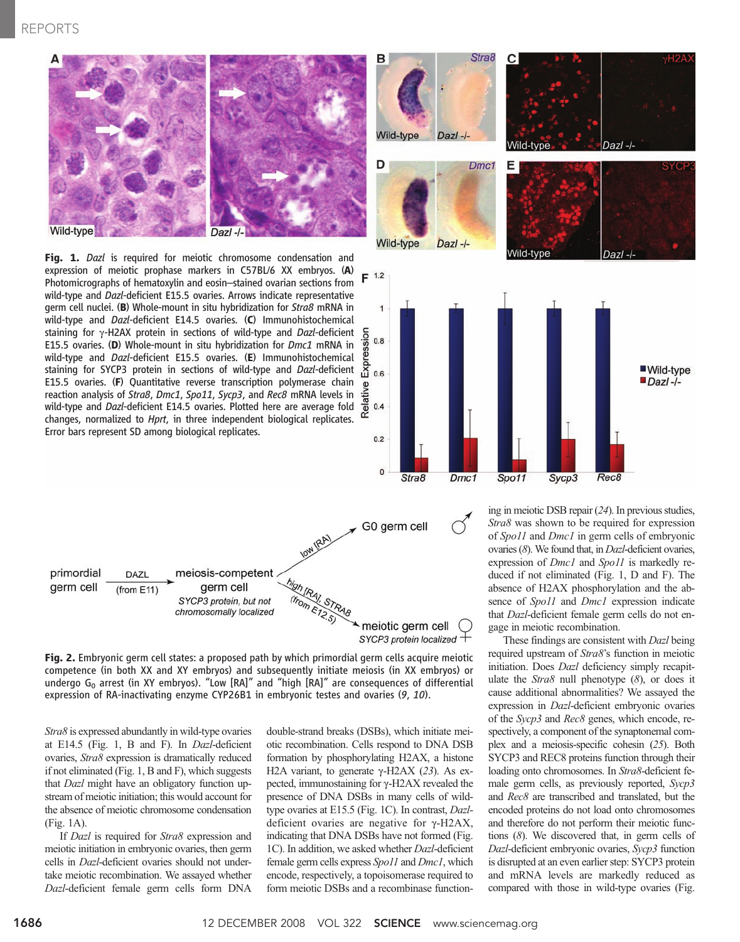



Fig. 2. Embryonic germ cell states: a proposed path by which primordial germ cells acquire meiotic competence (in both XX and XY embryos) and subsequently initiate meiosis (in XX embryos) or undergo  $G_0$  arrest (in XY embryos). "Low [RA]" and "high [RA]" are consequences of differential expression of RA-inactivating enzyme CYP26B1 in embryonic testes and ovaries (9, 10).

Stra8 is expressed abundantly in wild-type ovaries at E14.5 (Fig. 1, B and F). In Dazl-deficient ovaries, Stra8 expression is dramatically reduced if not eliminated (Fig. 1, B and F), which suggests that Dazl might have an obligatory function upstream of meiotic initiation; this would account for the absence of meiotic chromosome condensation (Fig. 1A).

If *Dazl* is required for *Stra8* expression and meiotic initiation in embryonic ovaries, then germ cells in Dazl-deficient ovaries should not undertake meiotic recombination. We assayed whether Dazl-deficient female germ cells form DNA

double-strand breaks (DSBs), which initiate meiotic recombination. Cells respond to DNA DSB formation by phosphorylating H2AX, a histone H2A variant, to generate  $\gamma$ -H2AX (23). As expected, immunostaining for  $\gamma$ -H2AX revealed the presence of DNA DSBs in many cells of wildtype ovaries at E15.5 (Fig. 1C). In contrast, Dazldeficient ovaries are negative for  $\gamma$ -H2AX, indicating that DNA DSBs have not formed (Fig. 1C). In addition, we asked whether Dazl-deficient female germ cells express Spo11 and Dmc1, which encode, respectively, a topoisomerase required to form meiotic DSBs and a recombinase functioning in meiotic DSB repair (24). In previous studies, Stra8 was shown to be required for expression of Spo11 and Dmc1 in germ cells of embryonic ovaries (8). We found that, in Dazl-deficient ovaries, expression of *Dmc1* and *Spo11* is markedly reduced if not eliminated (Fig. 1, D and F). The absence of H2AX phosphorylation and the absence of Spo11 and Dmc1 expression indicate that Dazl-deficient female germ cells do not engage in meiotic recombination.

These findings are consistent with Dazl being required upstream of Stra8's function in meiotic initiation. Does Dazl deficiency simply recapitulate the  $Strab$  null phenotype  $(8)$ , or does it cause additional abnormalities? We assayed the expression in Dazl-deficient embryonic ovaries of the Sycp3 and Rec8 genes, which encode, respectively, a component of the synaptonemal complex and a meiosis-specific cohesin (25). Both SYCP3 and REC8 proteins function through their loading onto chromosomes. In Stra8-deficient female germ cells, as previously reported, Sycp3 and Rec8 are transcribed and translated, but the encoded proteins do not load onto chromosomes and therefore do not perform their meiotic functions (8). We discovered that, in germ cells of Dazl-deficient embryonic ovaries, Sycp3 function is disrupted at an even earlier step: SYCP3 protein and mRNA levels are markedly reduced as compared with those in wild-type ovaries (Fig.